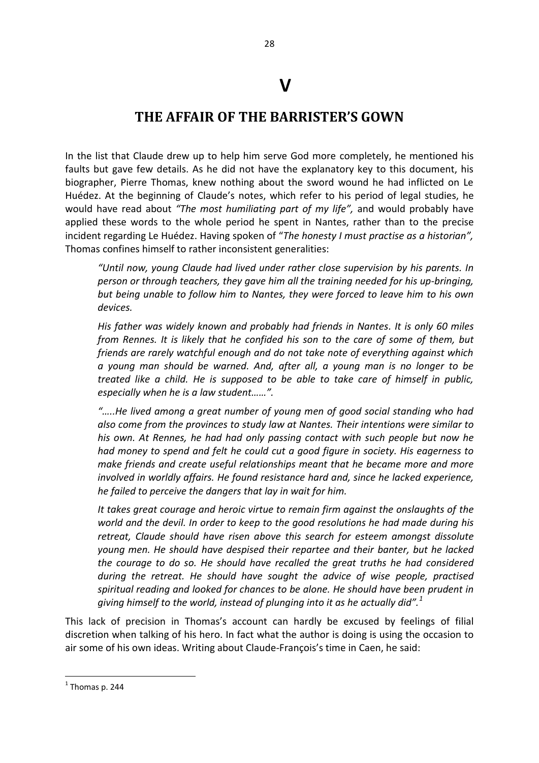## **V**

## **THE AFFAIR OF THE BARRISTER'S GOWN**

In the list that Claude drew up to help him serve God more completely, he mentioned his faults but gave few details. As he did not have the explanatory key to this document, his biographer, Pierre Thomas, knew nothing about the sword wound he had inflicted on Le Huédez. At the beginning of Claude's notes, which refer to his period of legal studies, he would have read about *"The most humiliating part of my life",* and would probably have applied these words to the whole period he spent in Nantes, rather than to the precise incident regarding Le Huédez. Having spoken of "*The honesty I must practise as a historian",*  Thomas confines himself to rather inconsistent generalities:

*"Until now, young Claude had lived under rather close supervision by his parents. In person or through teachers, they gave him all the training needed for his up-bringing, but being unable to follow him to Nantes, they were forced to leave him to his own devices.* 

*His father was widely known and probably had friends in Nantes. It is only 60 miles from Rennes. It is likely that he confided his son to the care of some of them, but friends are rarely watchful enough and do not take note of everything against which a young man should be warned. And, after all, a young man is no longer to be treated like a child. He is supposed to be able to take care of himself in public, especially when he is a law student……".*

*"…..He lived among a great number of young men of good social standing who had also come from the provinces to study law at Nantes. Their intentions were similar to his own. At Rennes, he had had only passing contact with such people but now he had money to spend and felt he could cut a good figure in society. His eagerness to make friends and create useful relationships meant that he became more and more involved in worldly affairs. He found resistance hard and, since he lacked experience, he failed to perceive the dangers that lay in wait for him.* 

*It takes great courage and heroic virtue to remain firm against the onslaughts of the world and the devil. In order to keep to the good resolutions he had made during his retreat, Claude should have risen above this search for esteem amongst dissolute young men. He should have despised their repartee and their banter, but he lacked the courage to do so. He should have recalled the great truths he had considered during the retreat. He should have sought the advice of wise people, practised spiritual reading and looked for chances to be alone. He should have been prudent in giving himself to the world, instead of plunging into it as he actually did".<sup>1</sup>* 

This lack of precision in Thomas's account can hardly be excused by feelings of filial discretion when talking of his hero. In fact what the author is doing is using the occasion to air some of his own ideas. Writing about Claude-François's time in Caen, he said:

**.** 

 $<sup>1</sup>$  Thomas p. 244</sup>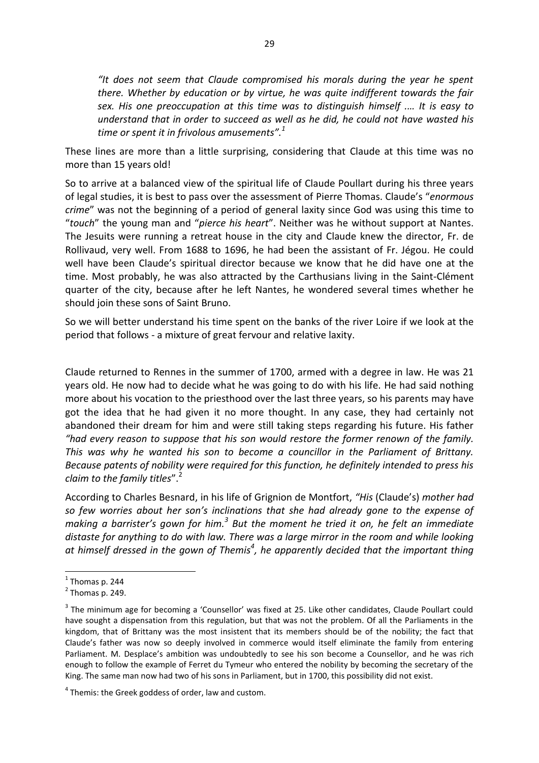*"It does not seem that Claude compromised his morals during the year he spent there. Whether by education or by virtue, he was quite indifferent towards the fair sex. His one preoccupation at this time was to distinguish himself .… It is easy to understand that in order to succeed as well as he did, he could not have wasted his time or spent it in frivolous amusements".<sup>1</sup>*

These lines are more than a little surprising, considering that Claude at this time was no more than 15 years old!

So to arrive at a balanced view of the spiritual life of Claude Poullart during his three years of legal studies, it is best to pass over the assessment of Pierre Thomas. Claude's "*enormous crime*" was not the beginning of a period of general laxity since God was using this time to "*touch*" the young man and "*pierce his heart*". Neither was he without support at Nantes. The Jesuits were running a retreat house in the city and Claude knew the director, Fr. de Rollivaud, very well. From 1688 to 1696, he had been the assistant of Fr. Jégou. He could well have been Claude's spiritual director because we know that he did have one at the time. Most probably, he was also attracted by the Carthusians living in the Saint-Clément quarter of the city, because after he left Nantes, he wondered several times whether he should join these sons of Saint Bruno.

So we will better understand his time spent on the banks of the river Loire if we look at the period that follows - a mixture of great fervour and relative laxity.

Claude returned to Rennes in the summer of 1700, armed with a degree in law. He was 21 years old. He now had to decide what he was going to do with his life. He had said nothing more about his vocation to the priesthood over the last three years, so his parents may have got the idea that he had given it no more thought. In any case, they had certainly not abandoned their dream for him and were still taking steps regarding his future. His father *"had every reason to suppose that his son would restore the former renown of the family. This was why he wanted his son to become a councillor in the Parliament of Brittany. Because patents of nobility were required for this function, he definitely intended to press his claim to the family titles*".<sup>2</sup>

According to Charles Besnard, in his life of Grignion de Montfort, *"His* (Claude's) *mother had so few worries about her son's inclinations that she had already gone to the expense of*  making a barrister's gown for him.<sup>3</sup> But the moment he tried it on, he felt an immediate *distaste for anything to do with law. There was a large mirror in the room and while looking at himself dressed in the gown of Themis<sup>4</sup> , he apparently decided that the important thing* 

**.** 

 $<sup>1</sup>$  Thomas p. 244</sup>

 $<sup>2</sup>$  Thomas p. 249.</sup>

 $3$  The minimum age for becoming a 'Counsellor' was fixed at 25. Like other candidates, Claude Poullart could have sought a dispensation from this regulation, but that was not the problem. Of all the Parliaments in the kingdom, that of Brittany was the most insistent that its members should be of the nobility; the fact that Claude's father was now so deeply involved in commerce would itself eliminate the family from entering Parliament. M. Desplace's ambition was undoubtedly to see his son become a Counsellor, and he was rich enough to follow the example of Ferret du Tymeur who entered the nobility by becoming the secretary of the King. The same man now had two of his sons in Parliament, but in 1700, this possibility did not exist.

 $4$  Themis: the Greek goddess of order, law and custom.